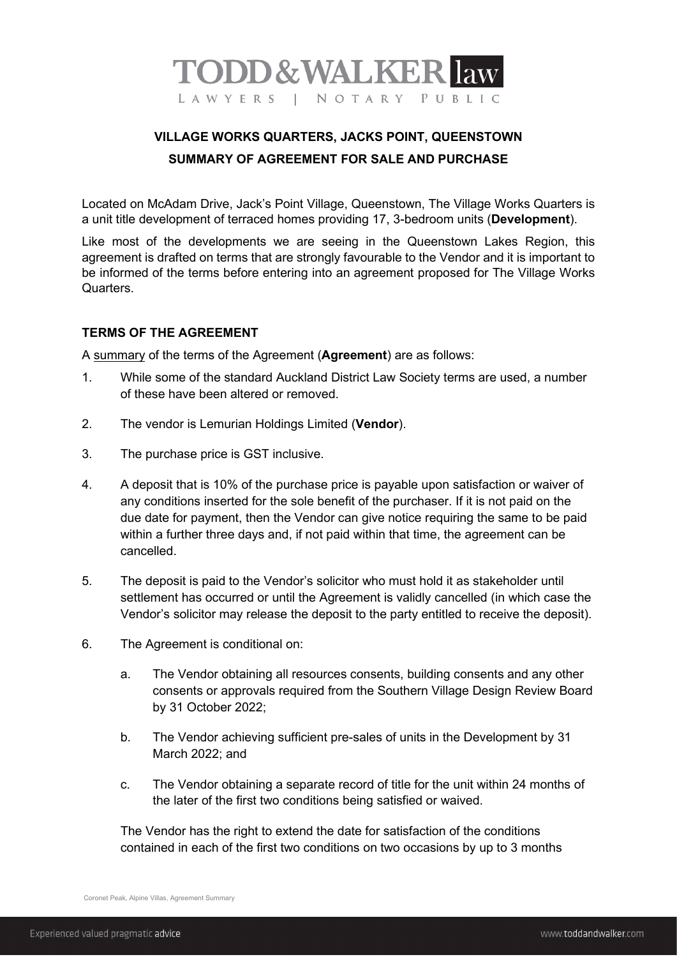

## **VILLAGE WORKS QUARTERS, JACKS POINT, QUEENSTOWN SUMMARY OF AGREEMENT FOR SALE AND PURCHASE**

Located on McAdam Drive, Jack's Point Village, Queenstown, The Village Works Quarters is a unit title development of terraced homes providing 17, 3-bedroom units (**Development**).

Like most of the developments we are seeing in the Queenstown Lakes Region, this agreement is drafted on terms that are strongly favourable to the Vendor and it is important to be informed of the terms before entering into an agreement proposed for The Village Works Quarters.

## **TERMS OF THE AGREEMENT**

A summary of the terms of the Agreement (**Agreement**) are as follows:

- 1. While some of the standard Auckland District Law Society terms are used, a number of these have been altered or removed.
- 2. The vendor is Lemurian Holdings Limited (**Vendor**).
- 3. The purchase price is GST inclusive.
- 4. A deposit that is 10% of the purchase price is payable upon satisfaction or waiver of any conditions inserted for the sole benefit of the purchaser. If it is not paid on the due date for payment, then the Vendor can give notice requiring the same to be paid within a further three days and, if not paid within that time, the agreement can be cancelled.
- 5. The deposit is paid to the Vendor's solicitor who must hold it as stakeholder until settlement has occurred or until the Agreement is validly cancelled (in which case the Vendor's solicitor may release the deposit to the party entitled to receive the deposit).
- 6. The Agreement is conditional on:
	- a. The Vendor obtaining all resources consents, building consents and any other consents or approvals required from the Southern Village Design Review Board by 31 October 2022;
	- b. The Vendor achieving sufficient pre-sales of units in the Development by 31 March  $2022$ ; and
	- c. The Vendor obtaining a separate record of title for the unit within 24 months of the later of the first two conditions being satisfied or waived.

The Vendor has the right to extend the date for satisfaction of the conditions contained in each of the first two conditions on two occasions by up to 3 months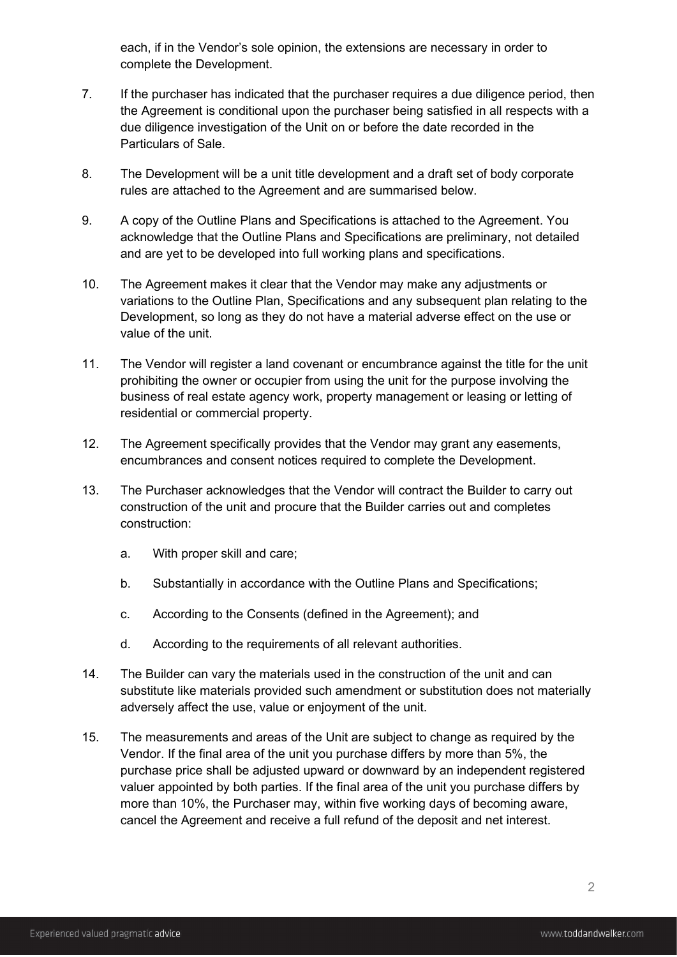each, if in the Vendor's sole opinion, the extensions are necessary in order to complete the Development.

- 7. If the purchaser has indicated that the purchaser requires a due diligence period, then the Agreement is conditional upon the purchaser being satisfied in all respects with a due diligence investigation of the Unit on or before the date recorded in the Particulars of Sale.
- 8. The Development will be a unit title development and a draft set of body corporate rules are attached to the Agreement and are summarised below.
- 9. A copy of the Outline Plans and Specifications is attached to the Agreement. You acknowledge that the Outline Plans and Specifications are preliminary, not detailed and are yet to be developed into full working plans and specifications.
- 10. The Agreement makes it clear that the Vendor may make any adjustments or variations to the Outline Plan, Specifications and any subsequent plan relating to the Development, so long as they do not have a material adverse effect on the use or value of the unit.
- 11. The Vendor will register a land covenant or encumbrance against the title for the unit prohibiting the owner or occupier from using the unit for the purpose involving the business of real estate agency work, property management or leasing or letting of residential or commercial property.
- 12. The Agreement specifically provides that the Vendor may grant any easements, encumbrances and consent notices required to complete the Development.
- 13. The Purchaser acknowledges that the Vendor will contract the Builder to carry out construction of the unit and procure that the Builder carries out and completes construction:
	- a. With proper skill and care;
	- b. Substantially in accordance with the Outline Plans and Specifications;
	- c. According to the Consents (defined in the Agreement); and
	- d. According to the requirements of all relevant authorities.
- 14. The Builder can vary the materials used in the construction of the unit and can substitute like materials provided such amendment or substitution does not materially adversely affect the use, value or enjoyment of the unit.
- 15. The measurements and areas of the Unit are subject to change as required by the Vendor. If the final area of the unit you purchase differs by more than 5%, the purchase price shall be adjusted upward or downward by an independent registered valuer appointed by both parties. If the final area of the unit you purchase differs by more than 10%, the Purchaser may, within five working days of becoming aware, cancel the Agreement and receive a full refund of the deposit and net interest.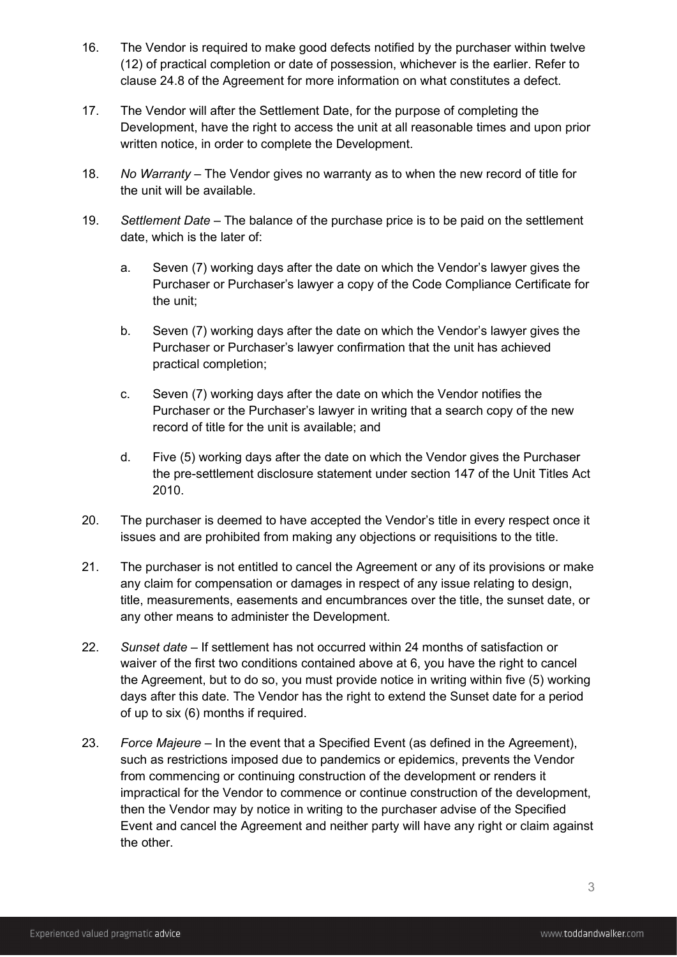- 16. The Vendor is required to make good defects notified by the purchaser within twelve (12) of practical completion or date of possession, whichever is the earlier. Refer to clause 24.8 of the Agreement for more information on what constitutes a defect.
- 17. The Vendor will after the Settlement Date, for the purpose of completing the Development, have the right to access the unit at all reasonable times and upon prior written notice, in order to complete the Development.
- 18. *No Warranty –* The Vendor gives no warranty as to when the new record of title for the unit will be available.
- 19. *Settlement Date* The balance of the purchase price is to be paid on the settlement date, which is the later of:
	- a. Seven (7) working days after the date on which the Vendor's lawyer gives the Purchaser or Purchaser's lawyer a copy of the Code Compliance Certificate for the unit;
	- b. Seven (7) working days after the date on which the Vendor's lawyer gives the Purchaser or Purchaser's lawyer confirmation that the unit has achieved practical completion;
	- c. Seven (7) working days after the date on which the Vendor notifies the Purchaser or the Purchaser's lawyer in writing that a search copy of the new record of title for the unit is available; and
	- d. Five (5) working days after the date on which the Vendor gives the Purchaser the pre-settlement disclosure statement under section 147 of the Unit Titles Act 2010.
- 20. The purchaser is deemed to have accepted the Vendor's title in every respect once it issues and are prohibited from making any objections or requisitions to the title.
- 21. The purchaser is not entitled to cancel the Agreement or any of its provisions or make any claim for compensation or damages in respect of any issue relating to design, title, measurements, easements and encumbrances over the title, the sunset date, or any other means to administer the Development.
- 22. *Sunset date* If settlement has not occurred within 24 months of satisfaction or waiver of the first two conditions contained above at 6, you have the right to cancel the Agreement, but to do so, you must provide notice in writing within five (5) working days after this date. The Vendor has the right to extend the Sunset date for a period of up to six (6) months if required.
- 23. *Force Majeure* In the event that a Specified Event (as defined in the Agreement), such as restrictions imposed due to pandemics or epidemics, prevents the Vendor from commencing or continuing construction of the development or renders it impractical for the Vendor to commence or continue construction of the development, then the Vendor may by notice in writing to the purchaser advise of the Specified Event and cancel the Agreement and neither party will have any right or claim against the other.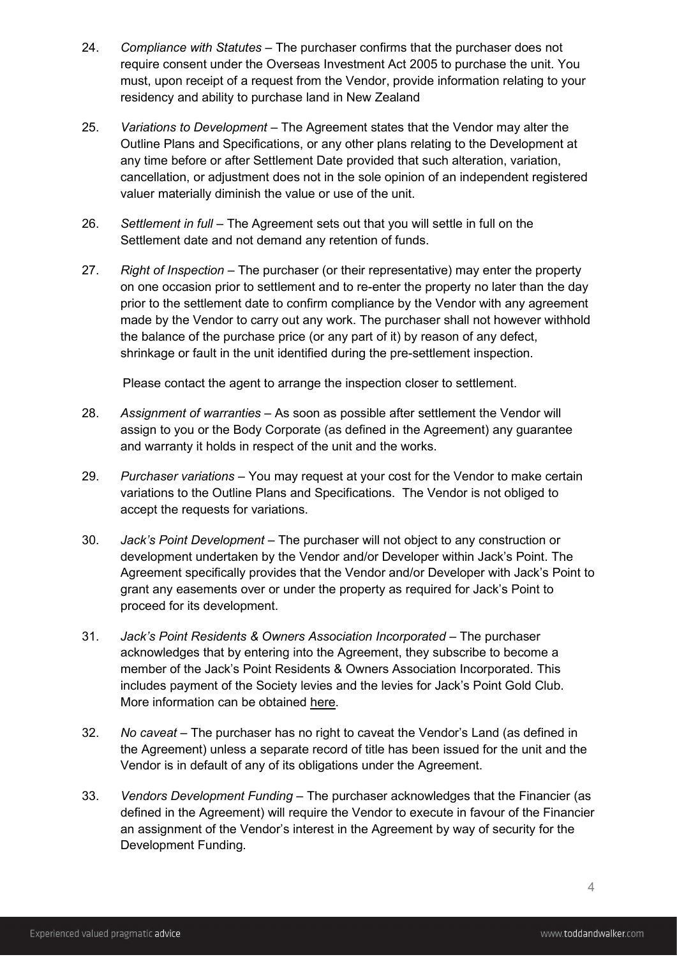- 24. *Compliance with Statutes* The purchaser confirms that the purchaser does not require consent under the Overseas Investment Act 2005 to purchase the unit. You must, upon receipt of a request from the Vendor, provide information relating to your residency and ability to purchase land in New Zealand
- 25. *Variations to Development* The Agreement states that the Vendor may alter the Outline Plans and Specifications, or any other plans relating to the Development at any time before or after Settlement Date provided that such alteration, variation, cancellation, or adjustment does not in the sole opinion of an independent registered valuer materially diminish the value or use of the unit.
- 26. *Settlement in full* The Agreement sets out that you will settle in full on the Settlement date and not demand any retention of funds.
- 27. *Right of Inspection* The purchaser (or their representative) may enter the property on one occasion prior to settlement and to re-enter the property no later than the day prior to the settlement date to confirm compliance by the Vendor with any agreement made by the Vendor to carry out any work. The purchaser shall not however withhold the balance of the purchase price (or any part of it) by reason of any defect, shrinkage or fault in the unit identified during the pre-settlement inspection.

Please contact the agent to arrange the inspection closer to settlement.

- 28. *Assignment of warranties* As soon as possible after settlement the Vendor will assign to you or the Body Corporate (as defined in the Agreement) any guarantee and warranty it holds in respect of the unit and the works.
- 29. *Purchaser variations* You may request at your cost for the Vendor to make certain variations to the Outline Plans and Specifications. The Vendor is not obliged to accept the requests for variations.
- 30. *Jack's Point Development* The purchaser will not object to any construction or development undertaken by the Vendor and/or Developer within Jack's Point. The Agreement specifically provides that the Vendor and/or Developer with Jack's Point to grant any easements over or under the property as required for Jack's Point to proceed for its development.
- 31. *Jack's Point Residents & Owners Association Incorporated The purchaser* acknowledges that by entering into the Agreement, they subscribe to become a member of the Jack's Point Residents & Owners Association Incorporated. This includes payment of the Society levies and the levies for Jack's Point Gold Club. More information can be obtained [here.](https://www.jackspoint.com/residents-society)
- 32. *No caveat*  The purchaser has no right to caveat the Vendor's Land (as defined in the Agreement) unless a separate record of title has been issued for the unit and the Vendor is in default of any of its obligations under the Agreement.
- 33. *Vendors Development Funding*  The purchaser acknowledges that the Financier (as defined in the Agreement) will require the Vendor to execute in favour of the Financier an assignment of the Vendor's interest in the Agreement by way of security for the Development Funding.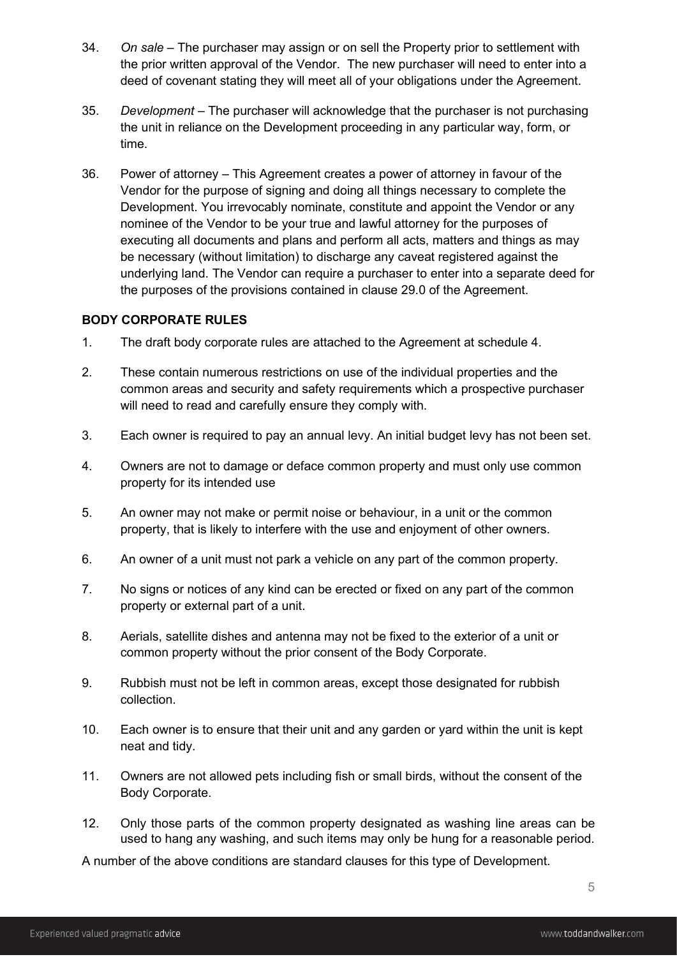- 34. *On sale* The purchaser may assign or on sell the Property prior to settlement with the prior written approval of the Vendor. The new purchaser will need to enter into a deed of covenant stating they will meet all of your obligations under the Agreement.
- 35. *Development* The purchaser will acknowledge that the purchaser is not purchasing the unit in reliance on the Development proceeding in any particular way, form, or time.
- 36. Power of attorney This Agreement creates a power of attorney in favour of the Vendor for the purpose of signing and doing all things necessary to complete the Development. You irrevocably nominate, constitute and appoint the Vendor or any nominee of the Vendor to be your true and lawful attorney for the purposes of executing all documents and plans and perform all acts, matters and things as may be necessary (without limitation) to discharge any caveat registered against the underlying land. The Vendor can require a purchaser to enter into a separate deed for the purposes of the provisions contained in clause 29.0 of the Agreement.

## **BODY CORPORATE RULES**

- 1. The draft body corporate rules are attached to the Agreement at schedule 4.
- 2. These contain numerous restrictions on use of the individual properties and the common areas and security and safety requirements which a prospective purchaser will need to read and carefully ensure they comply with.
- 3. Each owner is required to pay an annual levy. An initial budget levy has not been set.
- 4. Owners are not to damage or deface common property and must only use common property for its intended use
- 5. An owner may not make or permit noise or behaviour, in a unit or the common property, that is likely to interfere with the use and enjoyment of other owners.
- 6. An owner of a unit must not park a vehicle on any part of the common property.
- 7. No signs or notices of any kind can be erected or fixed on any part of the common property or external part of a unit.
- 8. Aerials, satellite dishes and antenna may not be fixed to the exterior of a unit or common property without the prior consent of the Body Corporate.
- 9. Rubbish must not be left in common areas, except those designated for rubbish collection.
- 10. Each owner is to ensure that their unit and any garden or yard within the unit is kept neat and tidy.
- 11. Owners are not allowed pets including fish or small birds, without the consent of the Body Corporate.
- 12. Only those parts of the common property designated as washing line areas can be used to hang any washing, and such items may only be hung for a reasonable period.

A number of the above conditions are standard clauses for this type of Development.